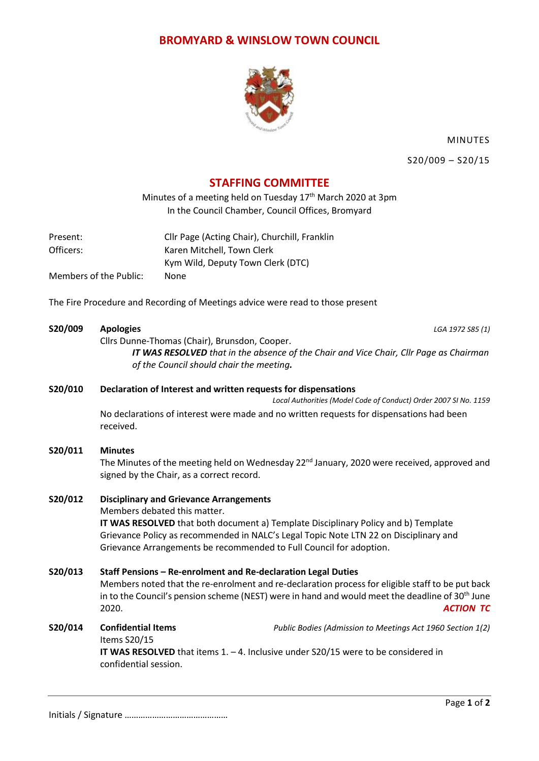## **BROMYARD & WINSLOW TOWN COUNCIL**



MINUTES

S20/009 – S20/15

# **STAFFING COMMITTEE**

Minutes of a meeting held on Tuesday 17<sup>th</sup> March 2020 at 3pm In the Council Chamber, Council Offices, Bromyard

Present: Cllr Page (Acting Chair), Churchill, Franklin Officers: Karen Mitchell, Town Clerk Kym Wild, Deputy Town Clerk (DTC) Members of the Public: None

The Fire Procedure and Recording of Meetings advice were read to those present

### **S20/009 Apologies** *LGA 1972 S85 (1)*

Cllrs Dunne-Thomas (Chair), Brunsdon, Cooper.

*IT WAS RESOLVED that in the absence of the Chair and Vice Chair, Cllr Page as Chairman of the Council should chair the meeting.*

### **S20/010 Declaration of Interest and written requests for dispensations**

*Local Authorities (Model Code of Conduct) Order 2007 SI No. 1159* No declarations of interest were made and no written requests for dispensations had been received.

### **S20/011 Minutes**

The Minutes of the meeting held on Wednesday 22<sup>nd</sup> January, 2020 were received, approved and signed by the Chair, as a correct record.

### **S20/012 Disciplinary and Grievance Arrangements**

Members debated this matter.

**IT WAS RESOLVED** that both document a) Template Disciplinary Policy and b) Template Grievance Policy as recommended in NALC's Legal Topic Note LTN 22 on Disciplinary and Grievance Arrangements be recommended to Full Council for adoption.

## **S20/013 Staff Pensions – Re-enrolment and Re-declaration Legal Duties**

Members noted that the re-enrolment and re-declaration process for eligible staff to be put back in to the Council's pension scheme (NEST) were in hand and would meet the deadline of 30<sup>th</sup> June 2020. *ACTION TC*

## **S20/014 Confidential Items** *Public Bodies (Admission to Meetings Act 1960 Section 1(2)* Items S20/15 **IT WAS RESOLVED** that items 1. – 4. Inclusive under S20/15 were to be considered in confidential session.